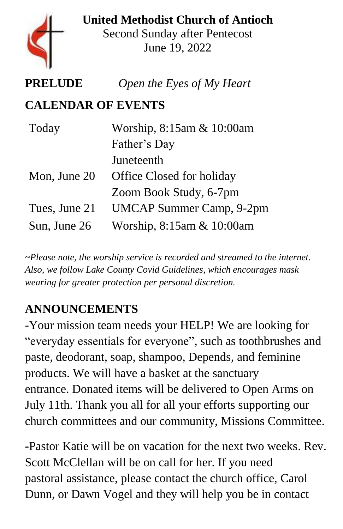

**United Methodist Church of Antioch** Second Sunday after Pentecost June 19, 2022

# **PRELUDE** *Open the Eyes of My Heart*

#### **CALENDAR OF EVENTS**

| Today         | Worship, 8:15am & 10:00am       |
|---------------|---------------------------------|
|               | Father's Day                    |
|               | Juneteenth                      |
| Mon, June 20  | Office Closed for holiday       |
|               | Zoom Book Study, 6-7pm          |
| Tues, June 21 | <b>UMCAP Summer Camp, 9-2pm</b> |
| Sun, June 26  | Worship, 8:15am & 10:00am       |

*~Please note, the worship service is recorded and streamed to the internet. Also, we follow Lake County Covid Guidelines, which encourages mask wearing for greater protection per personal discretion.*

# **ANNOUNCEMENTS**

-Your mission team needs your HELP! We are looking for "everyday essentials for everyone", such as toothbrushes and paste, deodorant, soap, shampoo, Depends, and feminine products. We will have a basket at the sanctuary entrance. Donated items will be delivered to Open Arms on July 11th. Thank you all for all your efforts supporting our church committees and our community, Missions Committee.

**-**Pastor Katie will be on vacation for the next two weeks. Rev. Scott McClellan will be on call for her. If you need pastoral assistance, please contact the church office, Carol Dunn, or Dawn Vogel and they will help you be in contact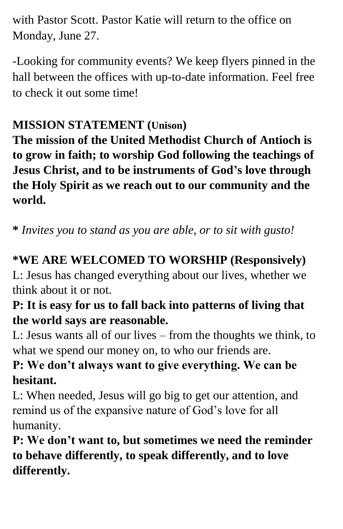with Pastor Scott. Pastor Katie will return to the office on Monday, June 27.

-Looking for community events? We keep flyers pinned in the hall between the offices with up-to-date information. Feel free to check it out some time!

# **MISSION STATEMENT (Unison)**

**The mission of the United Methodist Church of Antioch is to grow in faith; to worship God following the teachings of Jesus Christ, and to be instruments of God's love through the Holy Spirit as we reach out to our community and the world.**

**\*** *Invites you to stand as you are able, or to sit with gusto!*

# **\*WE ARE WELCOMED TO WORSHIP (Responsively)**

L: Jesus has changed everything about our lives, whether we think about it or not.

### **P: It is easy for us to fall back into patterns of living that the world says are reasonable.**

L: Jesus wants all of our lives – from the thoughts we think, to what we spend our money on, to who our friends are.

# **P: We don't always want to give everything. We can be hesitant.**

L: When needed, Jesus will go big to get our attention, and remind us of the expansive nature of God's love for all humanity.

**P: We don't want to, but sometimes we need the reminder to behave differently, to speak differently, and to love differently.**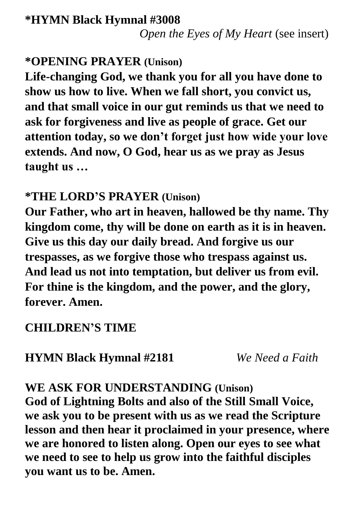### **\*OPENING PRAYER (Unison)**

**Life-changing God, we thank you for all you have done to show us how to live. When we fall short, you convict us, and that small voice in our gut reminds us that we need to ask for forgiveness and live as people of grace. Get our attention today, so we don't forget just how wide your love extends. And now, O God, hear us as we pray as Jesus taught us …** 

## **\*THE LORD'S PRAYER (Unison)**

**Our Father, who art in heaven, hallowed be thy name. Thy kingdom come, thy will be done on earth as it is in heaven. Give us this day our daily bread. And forgive us our trespasses, as we forgive those who trespass against us. And lead us not into temptation, but deliver us from evil. For thine is the kingdom, and the power, and the glory, forever. Amen.** 

# **CHILDREN'S TIME**

**HYMN Black Hymnal #2181** *We Need a Faith*

### **WE ASK FOR UNDERSTANDING (Unison)**

**God of Lightning Bolts and also of the Still Small Voice, we ask you to be present with us as we read the Scripture lesson and then hear it proclaimed in your presence, where we are honored to listen along. Open our eyes to see what we need to see to help us grow into the faithful disciples you want us to be. Amen.**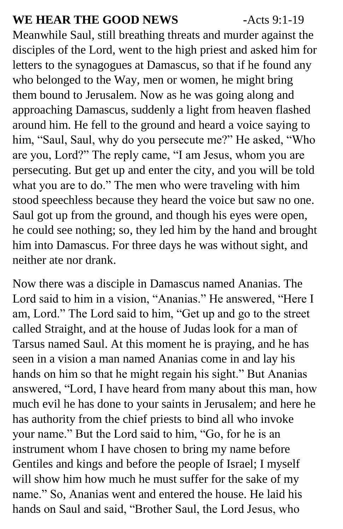#### **WE HEAR THE GOOD NEWS -**Acts 9:1-19

Meanwhile Saul, still breathing threats and murder against the disciples of the Lord, went to the high priest and asked him for letters to the synagogues at Damascus, so that if he found any who belonged to the Way, men or women, he might bring them bound to Jerusalem. Now as he was going along and approaching Damascus, suddenly a light from heaven flashed around him. He fell to the ground and heard a voice saying to him, "Saul, Saul, why do you persecute me?" He asked, "Who are you, Lord?" The reply came, "I am Jesus, whom you are persecuting. But get up and enter the city, and you will be told what you are to do." The men who were traveling with him stood speechless because they heard the voice but saw no one. Saul got up from the ground, and though his eyes were open, he could see nothing; so, they led him by the hand and brought him into Damascus. For three days he was without sight, and neither ate nor drank.

Now there was a disciple in Damascus named Ananias. The Lord said to him in a vision, "Ananias." He answered, "Here I am, Lord." The Lord said to him, "Get up and go to the street called Straight, and at the house of Judas look for a man of Tarsus named Saul. At this moment he is praying, and he has seen in a vision a man named Ananias come in and lay his hands on him so that he might regain his sight." But Ananias answered, "Lord, I have heard from many about this man, how much evil he has done to your saints in Jerusalem; and here he has authority from the chief priests to bind all who invoke your name." But the Lord said to him, "Go, for he is an instrument whom I have chosen to bring my name before Gentiles and kings and before the people of Israel; I myself will show him how much he must suffer for the sake of my name." So, Ananias went and entered the house. He laid his hands on Saul and said, "Brother Saul, the Lord Jesus, who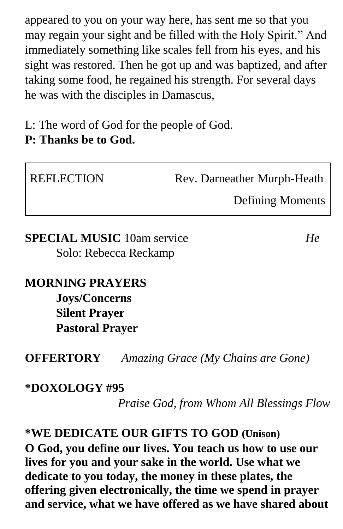appeared to you on your way here, has sent me so that you may regain your sight and be filled with the Holy Spirit." And immediately something like scales fell from his eyes, and his sight was restored. Then he got up and was baptized, and after taking some food, he regained his strength. For several days he was with the disciples in Damascus,

L: The word of God for the people of God. **P: Thanks be to God.**

| <b>REFLECTION</b> | Rev. Darneather Murph-Heath |  |
|-------------------|-----------------------------|--|
|                   | <b>Defining Moments</b>     |  |

**SPECIAL MUSIC** 10am service*He* Solo: Rebecca Reckamp

**MORNING PRAYERS Joys/Concerns Silent Prayer Pastoral Prayer**

**OFFERTORY** *Amazing Grace (My Chains are Gone)*

#### **\*DOXOLOGY #95**

*Praise God, from Whom All Blessings Flow*

**\*WE DEDICATE OUR GIFTS TO GOD (Unison) O God, you define our lives. You teach us how to use our lives for you and your sake in the world. Use what we dedicate to you today, the money in these plates, the offering given electronically, the time we spend in prayer and service, what we have offered as we have shared about**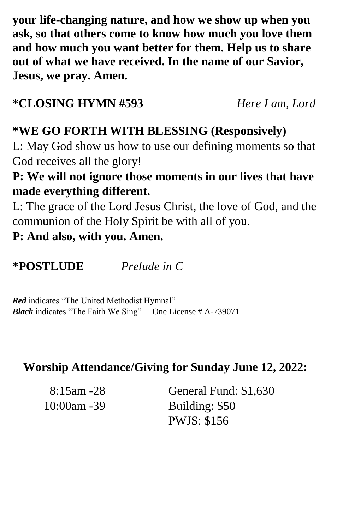**your life-changing nature, and how we show up when you ask, so that others come to know how much you love them and how much you want better for them. Help us to share out of what we have received. In the name of our Savior, Jesus, we pray. Amen.**

#### **\*CLOSING HYMN #593** *Here I am, Lord*

# **\*WE GO FORTH WITH BLESSING (Responsively)**

L: May God show us how to use our defining moments so that God receives all the glory!

### **P: We will not ignore those moments in our lives that have made everything different.**

L: The grace of the Lord Jesus Christ, the love of God, and the communion of the Holy Spirit be with all of you.

**P: And also, with you. Amen.**

**\*POSTLUDE** *Prelude in C*

*Red* indicates "The United Methodist Hymnal" *Black* indicates "The Faith We Sing" One License # A-739071

#### **Worship Attendance/Giving for Sunday June 12, 2022:**

| $8:15$ am -28  | General Fund: \$1,630 |
|----------------|-----------------------|
| $10:00$ am -39 | Building: \$50        |
|                | <b>PWJS: \$156</b>    |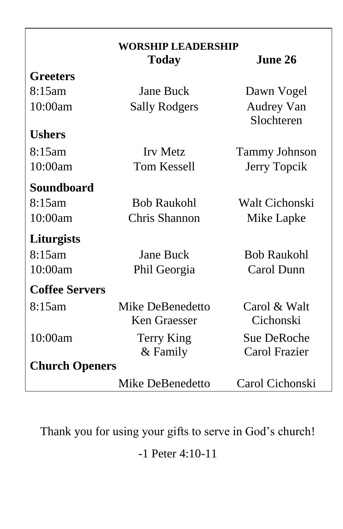| <b>WORSHIP LEADERSHIP</b> |                      |                                 |  |
|---------------------------|----------------------|---------------------------------|--|
|                           | Today                | June 26                         |  |
| <b>Greeters</b>           |                      |                                 |  |
| 8:15am                    | <b>Jane Buck</b>     | Dawn Vogel                      |  |
| 10:00am                   | <b>Sally Rodgers</b> | <b>Audrey Van</b><br>Slochteren |  |
| <b>Ushers</b>             |                      |                                 |  |
| 8:15am                    | <b>Irv Metz</b>      | <b>Tammy Johnson</b>            |  |
| 10:00am                   | <b>Tom Kessell</b>   | Jerry Topcik                    |  |
| <b>Soundboard</b>         |                      |                                 |  |
| 8:15am                    | <b>Bob Raukohl</b>   | Walt Cichonski                  |  |
| 10:00am                   | Chris Shannon        | Mike Lapke                      |  |
| Liturgists                |                      |                                 |  |
| 8:15am                    | <b>Jane Buck</b>     | <b>Bob Raukohl</b>              |  |
| 10:00am                   | Phil Georgia         | Carol Dunn                      |  |
| <b>Coffee Servers</b>     |                      |                                 |  |
| 8:15am                    | Mike DeBenedetto     | Carol & Walt                    |  |
|                           | Ken Graesser         | Cichonski                       |  |
| 10:00am                   | Terry King           | <b>Sue DeRoche</b>              |  |
|                           | & Family             | <b>Carol Frazier</b>            |  |
| <b>Church Openers</b>     |                      |                                 |  |
|                           | Mike DeBenedetto     | Carol Cichonski                 |  |

Thank you for using your gifts to serve in God's church!

-1 Peter 4:10-11